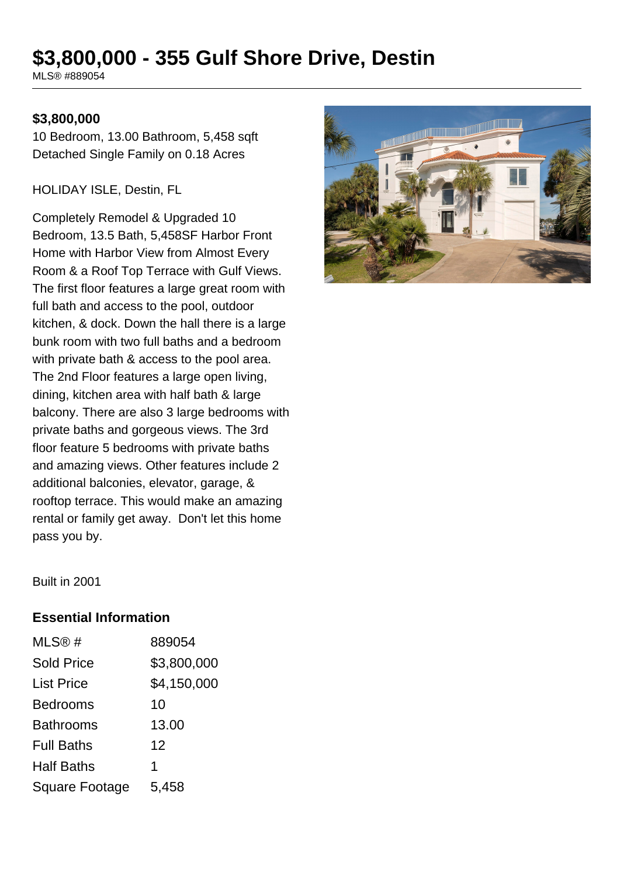# **\$3,800,000 - 355 Gulf Shore Drive, Destin**

MLS® #889054

#### **\$3,800,000**

10 Bedroom, 13.00 Bathroom, 5,458 sqft Detached Single Family on 0.18 Acres

HOLIDAY ISLE, Destin, FL

Completely Remodel & Upgraded 10 Bedroom, 13.5 Bath, 5,458SF Harbor Front Home with Harbor View from Almost Every Room & a Roof Top Terrace with Gulf Views. The first floor features a large great room with full bath and access to the pool, outdoor kitchen, & dock. Down the hall there is a large bunk room with two full baths and a bedroom with private bath & access to the pool area. The 2nd Floor features a large open living, dining, kitchen area with half bath & large balcony. There are also 3 large bedrooms with private baths and gorgeous views. The 3rd floor feature 5 bedrooms with private baths and amazing views. Other features include 2 additional balconies, elevator, garage, & rooftop terrace. This would make an amazing rental or family get away. Don't let this home pass you by.



Built in 2001

#### **Essential Information**

| MLS®#                 | 889054      |
|-----------------------|-------------|
| <b>Sold Price</b>     | \$3,800,000 |
| <b>List Price</b>     | \$4,150,000 |
| <b>Bedrooms</b>       | 10          |
| <b>Bathrooms</b>      | 13.00       |
| <b>Full Baths</b>     | 12          |
| <b>Half Baths</b>     | 1           |
| <b>Square Footage</b> | 5,458       |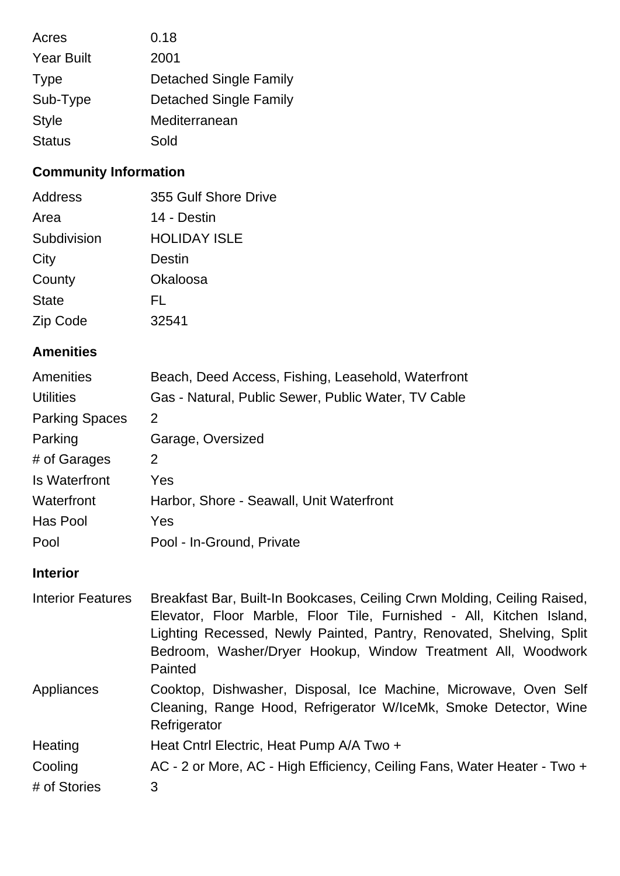| Acres             | 0.18                          |
|-------------------|-------------------------------|
| <b>Year Built</b> | 2001                          |
| <b>Type</b>       | <b>Detached Single Family</b> |
| Sub-Type          | <b>Detached Single Family</b> |
| <b>Style</b>      | Mediterranean                 |
| <b>Status</b>     | Sold                          |

# **Community Information**

| Address      | 355 Gulf Shore Drive |
|--------------|----------------------|
| Area         | 14 - Destin          |
| Subdivision  | <b>HOLIDAY ISLE</b>  |
| City         | Destin               |
| County       | Okaloosa             |
| <b>State</b> | FL.                  |
| Zip Code     | 32541                |

# **Amenities**

| Amenities             | Beach, Deed Access, Fishing, Leasehold, Waterfront  |
|-----------------------|-----------------------------------------------------|
| <b>Utilities</b>      | Gas - Natural, Public Sewer, Public Water, TV Cable |
| <b>Parking Spaces</b> | 2                                                   |
| Parking               | Garage, Oversized                                   |
| # of Garages          | 2                                                   |
| Is Waterfront         | Yes                                                 |
| Waterfront            | Harbor, Shore - Seawall, Unit Waterfront            |
| Has Pool              | Yes                                                 |
| Pool                  | Pool - In-Ground, Private                           |

# **Interior**

| <b>Interior Features</b> | Breakfast Bar, Built-In Bookcases, Ceiling Crwn Molding, Ceiling Raised,<br>Elevator, Floor Marble, Floor Tile, Furnished - All, Kitchen Island,     |
|--------------------------|------------------------------------------------------------------------------------------------------------------------------------------------------|
|                          | Lighting Recessed, Newly Painted, Pantry, Renovated, Shelving, Split                                                                                 |
|                          | Bedroom, Washer/Dryer Hookup, Window Treatment All, Woodwork                                                                                         |
|                          | Painted                                                                                                                                              |
| Appliances               | Cooktop, Dishwasher, Disposal, Ice Machine, Microwave, Oven Self<br>Cleaning, Range Hood, Refrigerator W/IceMk, Smoke Detector, Wine<br>Refrigerator |
| Heating                  | Heat Cntrl Electric, Heat Pump A/A Two +                                                                                                             |
| Cooling                  | AC - 2 or More, AC - High Efficiency, Ceiling Fans, Water Heater - Two +                                                                             |
| # of Stories             | 3                                                                                                                                                    |